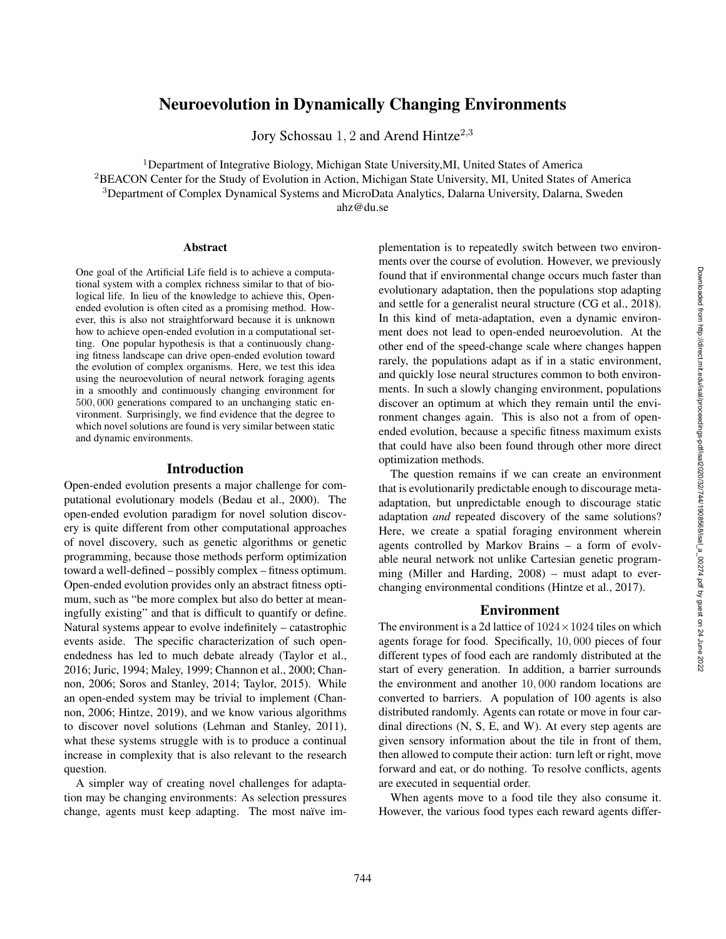# Neuroevolution in Dynamically Changing Environments

Jory Schossau 1, 2 and Arend Hintze<sup>2,3</sup>

<sup>1</sup>Department of Integrative Biology, Michigan State University,MI, United States of America <sup>2</sup>BEACON Center for the Study of Evolution in Action, Michigan State University, MI, United States of America <sup>3</sup>Department of Complex Dynamical Systems and MicroData Analytics, Dalarna University, Dalarna, Sweden

ahz@du.se

## Abstract

One goal of the Artificial Life field is to achieve a computational system with a complex richness similar to that of biological life. In lieu of the knowledge to achieve this, Openended evolution is often cited as a promising method. However, this is also not straightforward because it is unknown how to achieve open-ended evolution in a computational setting. One popular hypothesis is that a continuously changing fitness landscape can drive open-ended evolution toward the evolution of complex organisms. Here, we test this idea using the neuroevolution of neural network foraging agents in a smoothly and continuously changing environment for 500 , 000 generations compared to an unchanging static environment. Surprisingly, we find evidence that the degree to which novel solutions are found is very similar between static and dynamic environments.

## Introduction

Open-ended evolution presents a major challenge for computational evolutionary models (Bedau et al., 2000). The open-ended evolution paradigm for novel solution discovery is quite different from other computational approaches of novel discovery, such as genetic algorithms or genetic programming, because those methods perform optimization toward a well-defined – possibly complex – fitness optimum. Open-ended evolution provides only an abstract fitness optimum, such as "be more complex but also do better at meaningfully existing" and that is difficult to quantify or define. Natural systems appear to evolve indefinitely – catastrophic events aside. The specific characterization of such openendedness has led to much debate already (Taylor et al., 2016; Juric, 1994; Maley, 1999; Channon et al., 2000; Channon, 2006; Soros and Stanley, 2014; Taylor, 2015). While an open-ended system may be trivial to implement (Channon, 2006; Hintze, 2019), and we know various algorithms to discover novel solutions (Lehman and Stanley, 2011), what these systems struggle with is to produce a continual increase in complexity that is also relevant to the research question.

A simpler way of creating novel challenges for adaptation may be changing environments: As selection pressures change, agents must keep adapting. The most naïve implementation is to repeatedly switch between two environments over the course of evolution. However, we previously found that if environmental change occurs much faster than evolutionary adaptation, then the populations stop adapting and settle for a generalist neural structure (CG et al., 2018). In this kind of meta-adaptation, even a dynamic environment does not lead to open-ended neuroevolution. At the other end of the speed-change scale where changes happen rarely, the populations adapt as if in a static environment, and quickly lose neural structures common to both environments. In such a slowly changing environment, populations discover an optimum at which they remain until the environment changes again. This is also not a from of openended evolution, because a specific fitness maximum exists that could have also been found through other more direct optimization methods.

The question remains if we can create an environment that is evolutionarily predictable enough to discourage metaadaptation, but unpredictable enough to discourage static adaptation *and* repeated discovery of the same solutions? Here, we create a spatial foraging environment wherein agents controlled by Markov Brains – a form of evolvable neural network not unlike Cartesian genetic programming (Miller and Harding, 2008) – must adapt to everchanging environmental conditions (Hintze et al., 2017).

### Environment

The environment is a 2d lattice of  $1024 \times 1024$  tiles on which agents forage for food. Specifically, 10 , 000 pieces of four different types of food each are randomly distributed at the start of every generation. In addition, a barrier surrounds the environment and another 10 , 000 random locations are converted to barriers. A population of 100 agents is also distributed randomly. Agents can rotate or move in four cardinal directions (N, S, E, and W). At every step agents are given sensory information about the tile in front of them, then allowed to compute their action: turn left or right, move forward and eat, or do nothing. To resolve conflicts, agents are executed in sequential order.

When agents move to a food tile they also consume it. However, the various food types each reward agents differ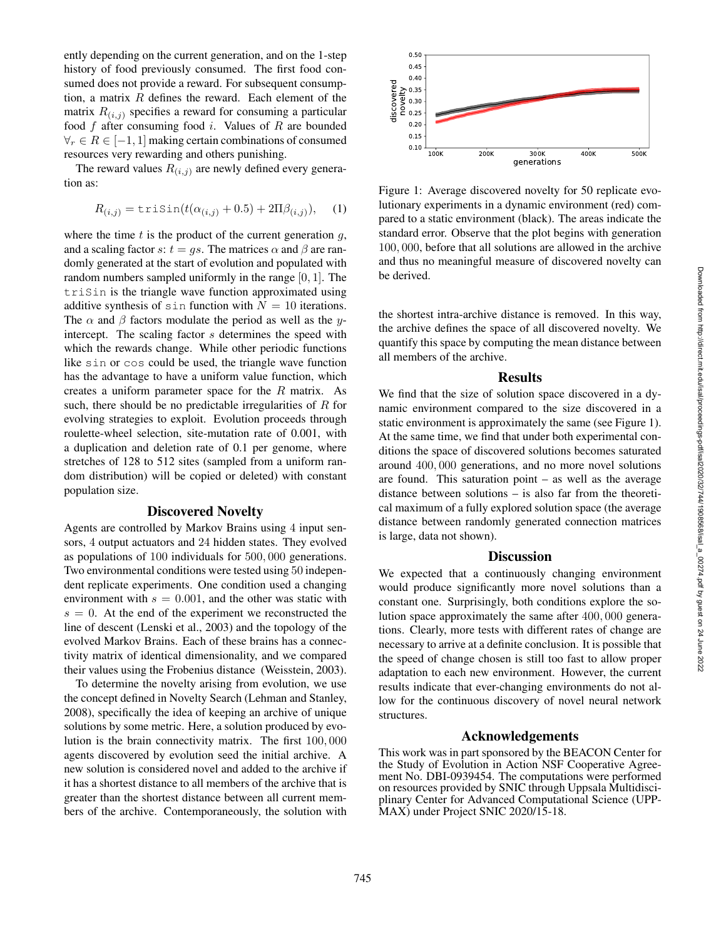ently depending on the current generation, and on the 1-step history of food previously consumed. The first food consumed does not provide a reward. For subsequent consumption, a matrix  $R$  defines the reward. Each element of the matrix  $R_{(i,j)}$  specifies a reward for consuming a particular food  $f$  after consuming food  $i$ . Values of  $R$  are bounded  $\forall_r \in R \in [-1, 1]$  making certain combinations of consumed resources very rewarding and others punishing.

The reward values  $R_{(i,j)}$  are newly defined every generation as:

$$
R_{(i,j)} = \text{trisin}(t(\alpha_{(i,j)} + 0.5) + 2\Pi\beta_{(i,j)}), \quad (1)
$$

where the time  $t$  is the product of the current generation  $g$ , and a scaling factor  $s: t = gs$ . The matrices  $\alpha$  and  $\beta$  are randomly generated at the start of evolution and populated with random numbers sampled uniformly in the range  $[0, 1]$ . The triSin is the triangle wave function approximated using additive synthesis of  $sin$  function with  $N = 10$  iterations. The  $\alpha$  and  $\beta$  factors modulate the period as well as the yintercept. The scaling factor s determines the speed with which the rewards change. While other periodic functions like sin or cos could be used, the triangle wave function has the advantage to have a uniform value function, which creates a uniform parameter space for the  $R$  matrix. As such, there should be no predictable irregularities of  $R$  for evolving strategies to exploit. Evolution proceeds through roulette-wheel selection, site-mutation rate of 0.001, with a duplication and deletion rate of 0.1 per genome, where stretches of 128 to 512 sites (sampled from a uniform random distribution) will be copied or deleted) with constant population size.

## Discovered Novelty

Agents are controlled by Markov Brains using 4 input sensors, 4 output actuators and 24 hidden states. They evolved as populations of 100 individuals for 500 , 000 generations. Two environmental conditions were tested using 50 independent replicate experiments. One condition used a changing environment with  $s = 0.001$ , and the other was static with  $s = 0$ . At the end of the experiment we reconstructed the line of descent (Lenski et al., 2003) and the topology of the evolved Markov Brains. Each of these brains has a connectivity matrix of identical dimensionality, and we compared their values using the Frobenius distance (Weisstein, 2003).

To determine the novelty arising from evolution, we use the concept defined in Novelty Search (Lehman and Stanley, 2008), specifically the idea of keeping an archive of unique solutions by some metric. Here, a solution produced by evolution is the brain connectivity matrix. The first 100, 000 agents discovered by evolution seed the initial archive. A new solution is considered novel and added to the archive if it has a shortest distance to all members of the archive that is greater than the shortest distance between all current members of the archive. Contemporaneously, the solution with



Figure 1: Average discovered novelty for 50 replicate evolutionary experiments in a dynamic environment (red) compared to a static environment (black). The areas indicate the standard error. Observe that the plot begins with generation 100 , 000, before that all solutions are allowed in the archive and thus no meaningful measure of discovered novelty can be derived.

the shortest intra-archive distance is removed. In this way, the archive defines the space of all discovered novelty. We quantify this space by computing the mean distance between all members of the archive.

## Results

We find that the size of solution space discovered in a dynamic environment compared to the size discovered in a static environment is approximately the same (see Figure 1). At the same time, we find that under both experimental conditions the space of discovered solutions becomes saturated around 400 , 000 generations, and no more novel solutions are found. This saturation point – as well as the average distance between solutions – is also far from the theoretical maximum of a fully explored solution space (the average distance between randomly generated connection matrices is large, data not shown).

## **Discussion**

We expected that a continuously changing environment would produce significantly more novel solutions than a constant one. Surprisingly, both conditions explore the solution space approximately the same after 400, 000 generations. Clearly, more tests with different rates of change are necessary to arrive at a definite conclusion. It is possible that the speed of change chosen is still too fast to allow proper adaptation to each new environment. However, the current results indicate that ever-changing environments do not allow for the continuous discovery of novel neural network structures.

## Acknowledgements

This work was in part sponsored by the BEACON Center for the Study of Evolution in Action NSF Cooperative Agreement No. DBI-0939454. The computations were performed on resources provided by SNIC through Uppsala Multidisciplinary Center for Advanced Computational Science (UPP-MAX) under Project SNIC 2020/15-18.